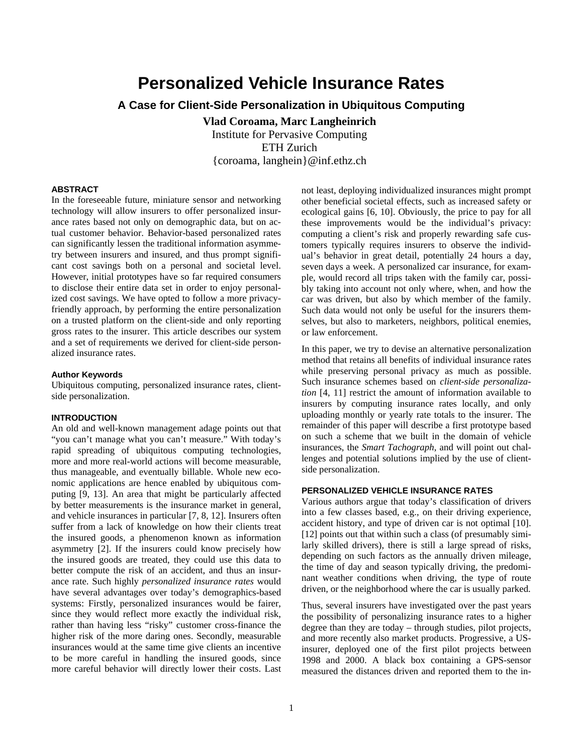# **Personalized Vehicle Insurance Rates**

## **A Case for Client-Side Personalization in Ubiquitous Computing**

**Vlad Coroama, Marc Langheinrich**  Institute for Pervasive Computing ETH Zurich {coroama, langhein}@inf.ethz.ch

## **ABSTRACT**

In the foreseeable future, miniature sensor and networking technology will allow insurers to offer personalized insurance rates based not only on demographic data, but on actual customer behavior. Behavior-based personalized rates can significantly lessen the traditional information asymmetry between insurers and insured, and thus prompt significant cost savings both on a personal and societal level. However, initial prototypes have so far required consumers to disclose their entire data set in order to enjoy personalized cost savings. We have opted to follow a more privacyfriendly approach, by performing the entire personalization on a trusted platform on the client-side and only reporting gross rates to the insurer. This article describes our system and a set of requirements we derived for client-side personalized insurance rates.

#### **Author Keywords**

Ubiquitous computing, personalized insurance rates, clientside personalization.

## **INTRODUCTION**

An old and well-known management adage points out that "you can't manage what you can't measure." With today's rapid spreading of ubiquitous computing technologies, more and more real-world actions will become measurable, thus manageable, and eventually billable. Whole new economic applications are hence enabled by ubiquitous computing [[9,](#page-3-0) [13\]](#page-3-1). An area that might be particularly affected by better measurements is the insurance market in general, and vehicle insurances in particular [[7,](#page-3-2) [8,](#page-3-3) [12\]](#page-3-4). Insurers often suffer from a lack of knowledge on how their clients treat the insured goods, a phenomenon known as information asymmetry [[2](#page-3-5)]. If the insurers could know precisely how the insured goods are treated, they could use this data to better compute the risk of an accident, and thus an insurance rate. Such highly *personalized insurance rates* would have several advantages over today's demographics-based systems: Firstly, personalized insurances would be fairer, since they would reflect more exactly the individual risk, rather than having less "risky" customer cross-finance the higher risk of the more daring ones. Secondly, measurable insurances would at the same time give clients an incentive to be more careful in handling the insured goods, since more careful behavior will directly lower their costs. Last

not least, deploying individualized insurances might prompt other beneficial societal effects, such as increased safety or ecological gains [[6,](#page-3-6) [10](#page-3-7)]. Obviously, the price to pay for all these improvements would be the individual's privacy: computing a client's risk and properly rewarding safe customers typically requires insurers to observe the individual's behavior in great detail, potentially 24 hours a day, seven days a week. A personalized car insurance, for example, would record all trips taken with the family car, possibly taking into account not only where, when, and how the car was driven, but also by which member of the family. Such data would not only be useful for the insurers themselves, but also to marketers, neighbors, political enemies, or law enforcement.

In this paper, we try to devise an alternative personalization method that retains all benefits of individual insurance rates while preserving personal privacy as much as possible. Such insurance schemes based on *client-side personalization* [\[4](#page-3-8), [11](#page-3-9)] restrict the amount of information available to insurers by computing insurance rates locally, and only uploading monthly or yearly rate totals to the insurer. The remainder of this paper will describe a first prototype based on such a scheme that we built in the domain of vehicle insurances, the *Smart Tachograph*, and will point out challenges and potential solutions implied by the use of clientside personalization.

## **PERSONALIZED VEHICLE INSURANCE RATES**

Various authors argue that today's classification of drivers into a few classes based, e.g., on their driving experience, accident history, and type of driven car is not optimal [\[10](#page-3-7)]. [\[12](#page-3-10)] points out that within such a class (of presumably similarly skilled drivers), there is still a large spread of risks, depending on such factors as the annually driven mileage, the time of day and season typically driving, the predominant weather conditions when driving, the type of route driven, or the neighborhood where the car is usually parked.

Thus, several insurers have investigated over the past years the possibility of personalizing insurance rates to a higher degree than they are today – through studies, pilot projects, and more recently also market products. Progressive, a USinsurer, deployed one of the first pilot projects between 1998 and 2000. A black box containing a GPS-sensor measured the distances driven and reported them to the in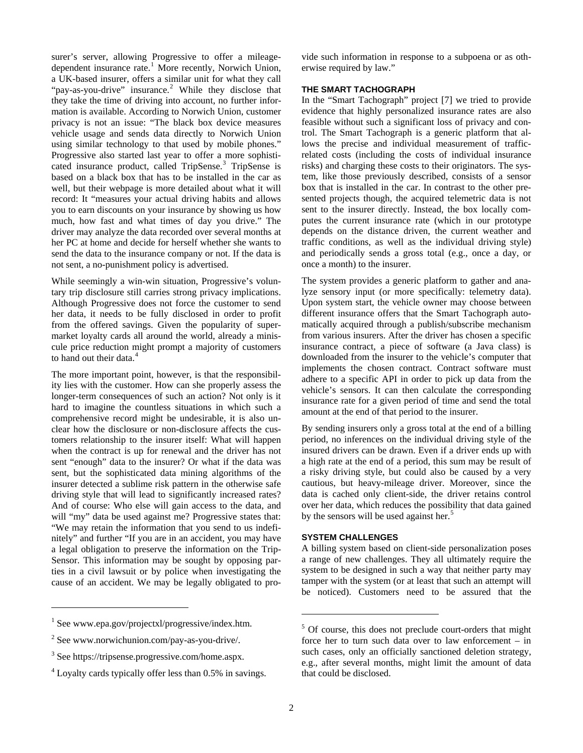surer's server, allowing Progressive to offer a mileage-dependent insurance rate.<sup>[1](#page-1-0)</sup> More recently, Norwich Union, a UK-based insurer, offers a similar unit for what they call "pay-as-you-drive" insurance.<sup>[2](#page-1-1)</sup> While they disclose that they take the time of driving into account, no further information is available. According to Norwich Union, customer privacy is not an issue: "The black box device measures vehicle usage and sends data directly to Norwich Union using similar technology to that used by mobile phones." Progressive also started last year to offer a more sophisti-cated insurance product, called TripSense.<sup>[3](#page-1-2)</sup> TripSense is based on a black box that has to be installed in the car as well, but their webpage is more detailed about what it will record: It "measures your actual driving habits and allows you to earn discounts on your insurance by showing us how much, how fast and what times of day you drive." The driver may analyze the data recorded over several months at her PC at home and decide for herself whether she wants to send the data to the insurance company or not. If the data is not sent, a no-punishment policy is advertised.

While seemingly a win-win situation, Progressive's voluntary trip disclosure still carries strong privacy implications. Although Progressive does not force the customer to send her data, it needs to be fully disclosed in order to profit from the offered savings. Given the popularity of supermarket loyalty cards all around the world, already a miniscule price reduction might prompt a majority of customers to hand out their data.<sup>[4](#page-1-3)</sup>

The more important point, however, is that the responsibility lies with the customer. How can she properly assess the longer-term consequences of such an action? Not only is it hard to imagine the countless situations in which such a comprehensive record might be undesirable, it is also unclear how the disclosure or non-disclosure affects the customers relationship to the insurer itself: What will happen when the contract is up for renewal and the driver has not sent "enough" data to the insurer? Or what if the data was sent, but the sophisticated data mining algorithms of the insurer detected a sublime risk pattern in the otherwise safe driving style that will lead to significantly increased rates? And of course: Who else will gain access to the data, and will "my" data be used against me? Progressive states that: "We may retain the information that you send to us indefinitely" and further "If you are in an accident, you may have a legal obligation to preserve the information on the Trip-Sensor. This information may be sought by opposing parties in a civil lawsuit or by police when investigating the cause of an accident. We may be legally obligated to pro-

|<br>|<br>|  $\frac{1}{1}$  See www.epa.gov/projectxl/progressive/index.htm. vide such information in response to a subpoena or as otherwise required by law."

## **THE SMART TACHOGRAPH**

In the "Smart Tachograph" project [\[7\]](#page-3-2) we tried to provide evidence that highly personalized insurance rates are also feasible without such a significant loss of privacy and control. The Smart Tachograph is a generic platform that allows the precise and individual measurement of trafficrelated costs (including the costs of individual insurance risks) and charging these costs to their originators. The system, like those previously described, consists of a sensor box that is installed in the car. In contrast to the other presented projects though, the acquired telemetric data is not sent to the insurer directly. Instead, the box locally computes the current insurance rate (which in our prototype depends on the distance driven, the current weather and traffic conditions, as well as the individual driving style) and periodically sends a gross total (e.g., once a day, or once a month) to the insurer.

The system provides a generic platform to gather and analyze sensory input (or more specifically: telemetry data). Upon system start, the vehicle owner may choose between different insurance offers that the Smart Tachograph automatically acquired through a publish/subscribe mechanism from various insurers. After the driver has chosen a specific insurance contract, a piece of software (a Java class) is downloaded from the insurer to the vehicle's computer that implements the chosen contract. Contract software must adhere to a specific API in order to pick up data from the vehicle's sensors. It can then calculate the corresponding insurance rate for a given period of time and send the total amount at the end of that period to the insurer.

By sending insurers only a gross total at the end of a billing period, no inferences on the individual driving style of the insured drivers can be drawn. Even if a driver ends up with a high rate at the end of a period, this sum may be result of a risky driving style, but could also be caused by a very cautious, but heavy-mileage driver. Moreover, since the data is cached only client-side, the driver retains control over her data, which reduces the possibility that data gained by the sensors will be used against her.<sup>[5](#page-1-4)</sup>

## **SYSTEM CHALLENGES**

A billing system based on client-side personalization poses a range of new challenges. They all ultimately require the system to be designed in such a way that neither party may tamper with the system (or at least that such an attempt will be noticed). Customers need to be assured that the

<span id="page-1-4"></span><span id="page-1-1"></span><span id="page-1-0"></span> $2$  See www.norwichunion.com/pay-as-you-drive/.

<span id="page-1-2"></span><sup>3</sup> See https://tripsense.progressive.com/home.aspx.

<span id="page-1-3"></span><sup>&</sup>lt;sup>4</sup> Loyalty cards typically offer less than 0.5% in savings.

<sup>&</sup>lt;sup>5</sup> Of course, this does not preclude court-orders that might force her to turn such data over to law enforcement – in such cases, only an officially sanctioned deletion strategy, e.g., after several months, might limit the amount of data that could be disclosed.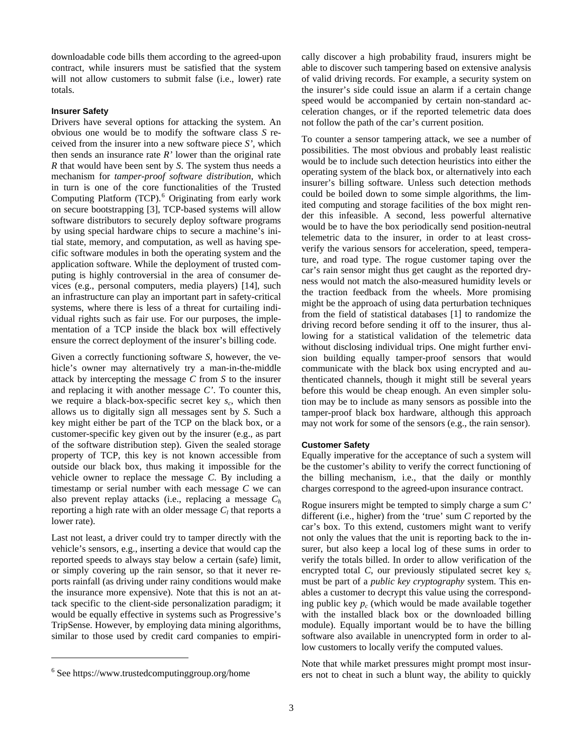downloadable code bills them according to the agreed-upon contract, while insurers must be satisfied that the system will not allow customers to submit false (i.e., lower) rate totals.

#### **Insurer Safety**

Drivers have several options for attacking the system. An obvious one would be to modify the software class *S* received from the insurer into a new software piece *S',* which then sends an insurance rate *R'* lower than the original rate *R* that would have been sent by *S*. The system thus needs a mechanism for *tamper-proof software distribution*, which in turn is one of the core functionalities of the Trusted Computing Platform (TCP).<sup>[6](#page-2-0)</sup> Originating from early work on secure bootstrapping [[3\]](#page-3-11), TCP-based systems will allow software distributors to securely deploy software programs by using special hardware chips to secure a machine's initial state, memory, and computation, as well as having specific software modules in both the operating system and the application software. While the deployment of trusted computing is highly controversial in the area of consumer devices (e.g., personal computers, media players) [\[14](#page-3-12)], such an infrastructure can play an important part in safety-critical systems, where there is less of a threat for curtailing individual rights such as fair use. For our purposes, the implementation of a TCP inside the black box will effectively ensure the correct deployment of the insurer's billing code.

Given a correctly functioning software *S*, however, the vehicle's owner may alternatively try a man-in-the-middle attack by intercepting the message *C* from *S* to the insurer and replacing it with another message *C'*. To counter this, we require a black-box-specific secret key  $s_c$ , which then allows us to digitally sign all messages sent by *S*. Such a key might either be part of the TCP on the black box, or a customer-specific key given out by the insurer (e.g., as part of the software distribution step). Given the sealed storage property of TCP, this key is not known accessible from outside our black box, thus making it impossible for the vehicle owner to replace the message *C*. By including a timestamp or serial number with each message *C* we can also prevent replay attacks (i.e., replacing a message *Ch* reporting a high rate with an older message  $C_l$  that reports a lower rate).

Last not least, a driver could try to tamper directly with the vehicle's sensors, e.g., inserting a device that would cap the reported speeds to always stay below a certain (safe) limit, or simply covering up the rain sensor, so that it never reports rainfall (as driving under rainy conditions would make the insurance more expensive). Note that this is not an attack specific to the client-side personalization paradigm; it would be equally effective in systems such as Progressive's TripSense. However, by employing data mining algorithms, similar to those used by credit card companies to empiri-

 $\overline{\phantom{a}}$ 

cally discover a high probability fraud, insurers might be able to discover such tampering based on extensive analysis of valid driving records. For example, a security system on the insurer's side could issue an alarm if a certain change speed would be accompanied by certain non-standard acceleration changes, or if the reported telemetric data does not follow the path of the car's current position.

To counter a sensor tampering attack, we see a number of possibilities. The most obvious and probably least realistic would be to include such detection heuristics into either the operating system of the black box, or alternatively into each insurer's billing software. Unless such detection methods could be boiled down to some simple algorithms, the limited computing and storage facilities of the box might render this infeasible. A second, less powerful alternative would be to have the box periodically send position-neutral telemetric data to the insurer, in order to at least crossverify the various sensors for acceleration, speed, temperature, and road type. The rogue customer taping over the car's rain sensor might thus get caught as the reported dryness would not match the also-measured humidity levels or the traction feedback from the wheels. More promising might be the approach of using data perturbation techniques from the field of statistical databases [[1\]](#page-3-13) to randomize the driving record before sending it off to the insurer, thus allowing for a statistical validation of the telemetric data without disclosing individual trips. One might further envision building equally tamper-proof sensors that would communicate with the black box using encrypted and authenticated channels, though it might still be several years before this would be cheap enough. An even simpler solution may be to include as many sensors as possible into the tamper-proof black box hardware, although this approach may not work for some of the sensors (e.g., the rain sensor).

#### **Customer Safety**

Equally imperative for the acceptance of such a system will be the customer's ability to verify the correct functioning of the billing mechanism, i.e., that the daily or monthly charges correspond to the agreed-upon insurance contract.

Rogue insurers might be tempted to simply charge a sum *C'* different (i.e., higher) from the 'true' sum *C* reported by the car's box. To this extend, customers might want to verify not only the values that the unit is reporting back to the insurer, but also keep a local log of these sums in order to verify the totals billed. In order to allow verification of the encrypted total *C*, our previously stipulated secret key  $s_c$ must be part of a *public key cryptography* system. This enables a customer to decrypt this value using the corresponding public key  $p_c$  (which would be made available together with the installed black box or the downloaded billing module). Equally important would be to have the billing software also available in unencrypted form in order to allow customers to locally verify the computed values.

Note that while market pressures might prompt most insurers not to cheat in such a blunt way, the ability to quickly

<span id="page-2-0"></span><sup>&</sup>lt;sup>6</sup> See https://www.trustedcomputinggroup.org/home